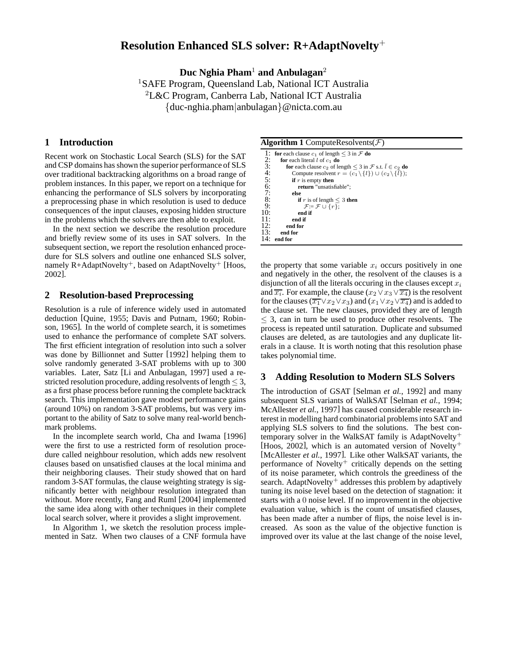# **Resolution Enhanced SLS solver: R+AdaptNovelty**<sup>+</sup>

**Duc Nghia Pham**<sup>1</sup> **and Anbulagan**<sup>2</sup>

<sup>1</sup>SAFE Program, Queensland Lab, National ICT Australia  ${}^{2}$ L&C Program, Canberra Lab, National ICT Australia {duc-nghia.pham|anbulagan}@nicta.com.au

# **1 Introduction**

Recent work on Stochastic Local Search (SLS) for the SAT and CSP domains has shown the superior performance of SLS over traditional backtracking algorithms on a broad range of problem instances. In this paper, we report on a technique for enhancing the performance of SLS solvers by incorporating a preprocessing phase in which resolution is used to deduce consequences of the input clauses, exposing hidden structure in the problems which the solvers are then able to exploit.

In the next section we describe the resolution procedure and briefly review some of its uses in SAT solvers. In the subsequent section, we report the resolution enhanced procedure for SLS solvers and outline one enhanced SLS solver, namely  $R+AdaptNovelty^+$ , based on AdaptNovelty<sup>+</sup> [Hoos, 2002].

## **2 Resolution-based Preprocessing**

Resolution is a rule of inference widely used in automated deduction [Quine, 1955; Davis and Putnam, 1960; Robinson, 1965]. In the world of complete search, it is sometimes used to enhance the performance of complete SAT solvers. The first efficient integration of resolution into such a solver was done by Billionnet and Sutter [1992] helping them to solve randomly generated 3-SAT problems with up to 300 variables. Later, Satz [Li and Anbulagan, 1997] used a restricted resolution procedure, adding resolvents of length  $\leq$  3, as a first phase process before running the complete backtrack search. This implementation gave modest performance gains (around 10%) on random 3-SAT problems, but was very important to the ability of Satz to solve many real-world benchmark problems.

In the incomplete search world, Cha and Iwama [1996] were the first to use a restricted form of resolution procedure called neighbour resolution, which adds new resolvent clauses based on unsatisfied clauses at the local minima and their neighboring clauses. Their study showed that on hard random 3-SAT formulas, the clause weighting strategy is significantly better with neighbour resolution integrated than without. More recently, Fang and Ruml [2004] implemented the same idea along with other techniques in their complete local search solver, where it provides a slight improvement.

In Algorithm 1, we sketch the resolution process implemented in Satz. When two clauses of a CNF formula have

#### **Algorithm 1** ComputeResolvents $(F)$

```
1: for each clause c_1 of length \leq 3 in \mathcal F do<br>2: for each literal l of c_1 do<br>3: for each clause c_2 of length \leq 3 in \mathcal Ffor each literal l of c_1 do
   3: for each clause c_2 of length \leq 3 in \mathcal{F} s.t. \bar{l} \in c_2 do 4: Compute resolvent r = (c_1 \setminus \{l\}) \cup (c_2 \setminus \{l\});
   4: Compute resolvent r = (c_1 \setminus \{l\}) \cup (c_2 \setminus \{\overline{l}\});<br>5: if r is empty then<br>6: return "unsatisfiable";
                          if r is empty then
   6: return "unsatisfiable";<br>
7: else<br>
8: if r is of length \lt 3 th
                          7: else
   8: if r is of length \leq 3 then<br>9: \mathcal{F} := \mathcal{F} \cup \{r\}.9: \mathcal{F} := \mathcal{F} \cup \{r\};<br>10: end if
10: end if
\begin{array}{ccc} 11: & \text{end if} \\ 12: & \text{end for} \end{array}12: end for
13: end for
          end for
```
the property that some variable  $x_i$  occurs positively in one and negatively in the other, the resolvent of the clauses is a disjunction of all the literals occuring in the clauses except  $x_i$ and  $\overline{x_i}$ . For example, the clause  $(x_2 \vee x_3 \vee \overline{x_4})$  is the resolvent for the clauses ( $\overline{x_1} \vee x_2 \vee x_3$ ) and  $(x_1 \vee x_2 \vee \overline{x_4})$  and is added to the clause set. The new clauses, provided they are of length  $\leq$  3, can in turn be used to produce other resolvents. The process is repeated until saturation. Duplicate and subsumed clauses are deleted, as are tautologies and any duplicate literals in a clause. It is worth noting that this resolution phase takes polynomial time.

## **3 Adding Resolution to Modern SLS Solvers**

The introduction of GSAT [Selman *et al.*, 1992] and many subsequent SLS variants of WalkSAT [Selman *et al.*, 1994; McAllester *et al.*, 1997] has caused considerable research interest in modelling hard combinatorial problems into SAT and applying SLS solvers to find the solutions. The best contemporary solver in the WalkSAT family is AdaptNovelty<sup>+</sup> [Hoos, 2002], which is an automated version of Novelty<sup>+</sup> [McAllester *et al.*, 1997]. Like other WalkSAT variants, the performance of Novelty<sup>+</sup> critically depends on the setting of its noise parameter, which controls the greediness of the search. Adapt $\text{Novelty}^+$  addresses this problem by adaptively tuning its noise level based on the detection of stagnation: it starts with a 0 noise level. If no improvement in the objective evaluation value, which is the count of unsatisfied clauses, has been made after a number of flips, the noise level is increased. As soon as the value of the objective function is improved over its value at the last change of the noise level,